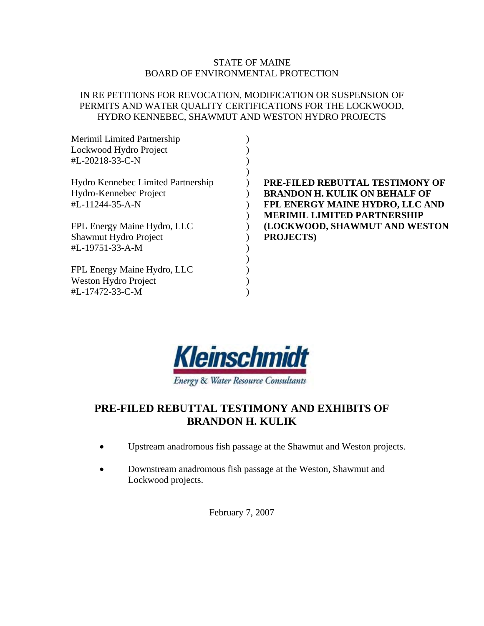### STATE OF MAINE BOARD OF ENVIRONMENTAL PROTECTION

### IN RE PETITIONS FOR REVOCATION, MODIFICATION OR SUSPENSION OF PERMITS AND WATER QUALITY CERTIFICATIONS FOR THE LOCKWOOD, HYDRO KENNEBEC, SHAWMUT AND WESTON HYDRO PROJECTS

| PRE-FILED REBUTTAL TESTIMONY OF      |
|--------------------------------------|
| <b>BRANDON H. KULIK ON BEHALF OF</b> |
| FPL ENERGY MAINE HYDRO, LLC AND      |
| <b>MERIMIL LIMITED PARTNERSHIP</b>   |
| (LOCKWOOD, SHAWMUT AND WESTON        |
| <b>PROJECTS</b> )                    |
|                                      |
|                                      |
|                                      |
|                                      |
|                                      |
|                                      |



## **PRE-FILED REBUTTAL TESTIMONY AND EXHIBITS OF BRANDON H. KULIK**

- Upstream anadromous fish passage at the Shawmut and Weston projects.
- Downstream anadromous fish passage at the Weston, Shawmut and Lockwood projects.

February 7, 2007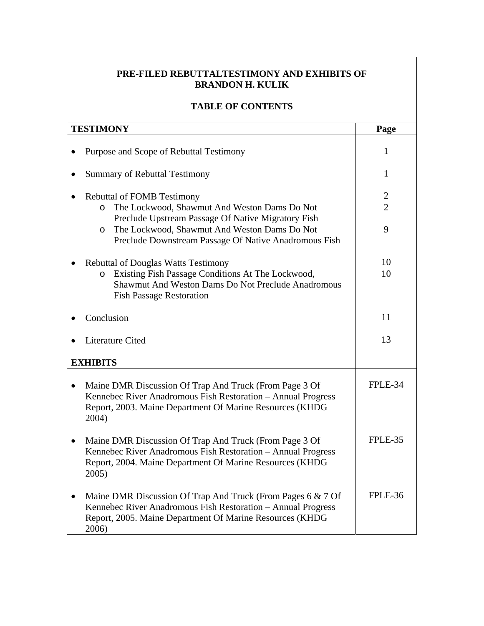## **PRE-FILED REBUTTALTESTIMONY AND EXHIBITS OF BRANDON H. KULIK**

## **TABLE OF CONTENTS**

| <b>TESTIMONY</b>                                                                                                                                                                                                                                                       | Page                                  |
|------------------------------------------------------------------------------------------------------------------------------------------------------------------------------------------------------------------------------------------------------------------------|---------------------------------------|
| Purpose and Scope of Rebuttal Testimony                                                                                                                                                                                                                                | 1                                     |
| <b>Summary of Rebuttal Testimony</b>                                                                                                                                                                                                                                   | 1                                     |
| <b>Rebuttal of FOMB Testimony</b><br>The Lockwood, Shawmut And Weston Dams Do Not<br>$\circ$<br>Preclude Upstream Passage Of Native Migratory Fish<br>The Lockwood, Shawmut And Weston Dams Do Not<br>$\circ$<br>Preclude Downstream Passage Of Native Anadromous Fish | $\overline{2}$<br>$\overline{2}$<br>9 |
| <b>Rebuttal of Douglas Watts Testimony</b><br>Existing Fish Passage Conditions At The Lockwood,<br>$\circ$<br>Shawmut And Weston Dams Do Not Preclude Anadromous<br><b>Fish Passage Restoration</b>                                                                    | 10<br>10                              |
| Conclusion                                                                                                                                                                                                                                                             | 11                                    |
| Literature Cited                                                                                                                                                                                                                                                       | 13                                    |
| <b>EXHIBITS</b>                                                                                                                                                                                                                                                        |                                       |
| Maine DMR Discussion Of Trap And Truck (From Page 3 Of<br>Kennebec River Anadromous Fish Restoration - Annual Progress<br>Report, 2003. Maine Department Of Marine Resources (KHDG<br>2004)                                                                            | FPLE-34                               |
| Maine DMR Discussion Of Trap And Truck (From Page 3 Of<br>Kennebec River Anadromous Fish Restoration - Annual Progress<br>Report, 2004. Maine Department Of Marine Resources (KHDG<br>2005)                                                                            | FPLE-35                               |
| Maine DMR Discussion Of Trap And Truck (From Pages 6 & 7 Of<br>Kennebec River Anadromous Fish Restoration - Annual Progress<br>Report, 2005. Maine Department Of Marine Resources (KHDG<br>2006)                                                                       | FPLE-36                               |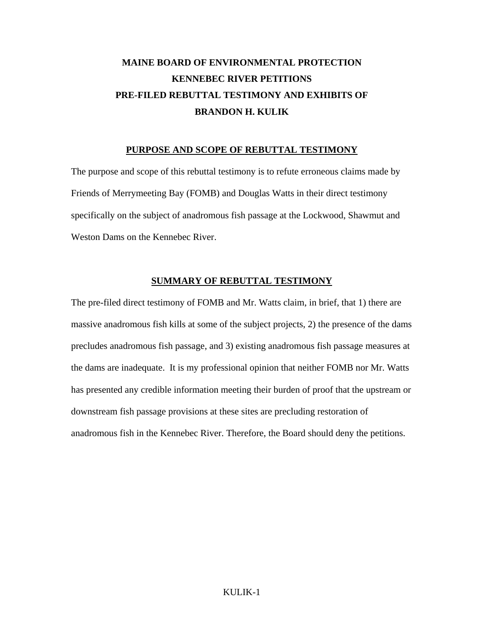# **MAINE BOARD OF ENVIRONMENTAL PROTECTION KENNEBEC RIVER PETITIONS PRE-FILED REBUTTAL TESTIMONY AND EXHIBITS OF BRANDON H. KULIK**

#### **PURPOSE AND SCOPE OF REBUTTAL TESTIMONY**

The purpose and scope of this rebuttal testimony is to refute erroneous claims made by Friends of Merrymeeting Bay (FOMB) and Douglas Watts in their direct testimony specifically on the subject of anadromous fish passage at the Lockwood, Shawmut and Weston Dams on the Kennebec River.

### **SUMMARY OF REBUTTAL TESTIMONY**

The pre-filed direct testimony of FOMB and Mr. Watts claim, in brief, that 1) there are massive anadromous fish kills at some of the subject projects, 2) the presence of the dams precludes anadromous fish passage, and 3) existing anadromous fish passage measures at the dams are inadequate. It is my professional opinion that neither FOMB nor Mr. Watts has presented any credible information meeting their burden of proof that the upstream or downstream fish passage provisions at these sites are precluding restoration of anadromous fish in the Kennebec River. Therefore, the Board should deny the petitions.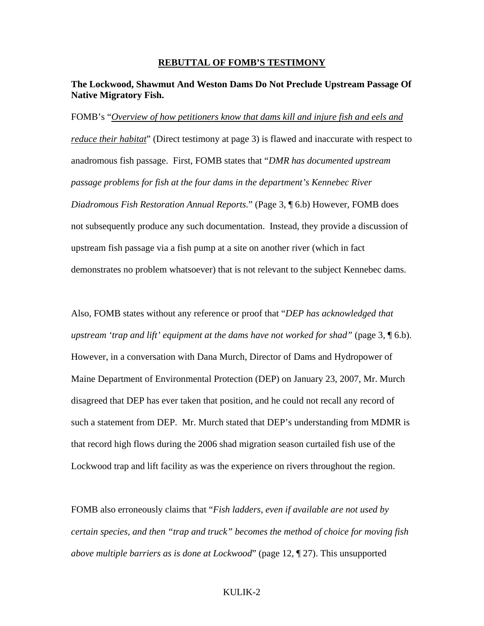#### **REBUTTAL OF FOMB'S TESTIMONY**

### **The Lockwood, Shawmut And Weston Dams Do Not Preclude Upstream Passage Of Native Migratory Fish.**

FOMB's "*Overview of how petitioners know that dams kill and injure fish and eels and reduce their habitat*" (Direct testimony at page 3) is flawed and inaccurate with respect to anadromous fish passage. First, FOMB states that "*DMR has documented upstream passage problems for fish at the four dams in the department's Kennebec River Diadromous Fish Restoration Annual Reports.*" (Page 3, ¶ 6.b) However, FOMB does not subsequently produce any such documentation. Instead, they provide a discussion of upstream fish passage via a fish pump at a site on another river (which in fact demonstrates no problem whatsoever) that is not relevant to the subject Kennebec dams.

Also, FOMB states without any reference or proof that "*DEP has acknowledged that upstream 'trap and lift' equipment at the dams have not worked for shad"* (page 3, ¶ 6.b). However, in a conversation with Dana Murch, Director of Dams and Hydropower of Maine Department of Environmental Protection (DEP) on January 23, 2007, Mr. Murch disagreed that DEP has ever taken that position, and he could not recall any record of such a statement from DEP. Mr. Murch stated that DEP's understanding from MDMR is that record high flows during the 2006 shad migration season curtailed fish use of the Lockwood trap and lift facility as was the experience on rivers throughout the region.

FOMB also erroneously claims that "*Fish ladders, even if available are not used by certain species, and then "trap and truck" becomes the method of choice for moving fish above multiple barriers as is done at Lockwood*" (page 12, ¶ 27). This unsupported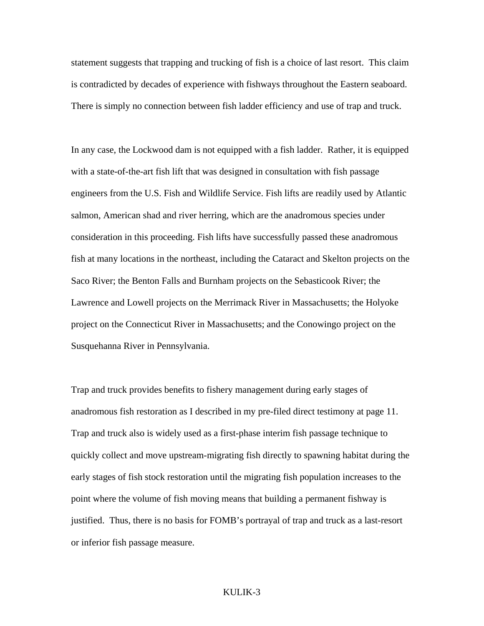statement suggests that trapping and trucking of fish is a choice of last resort. This claim is contradicted by decades of experience with fishways throughout the Eastern seaboard. There is simply no connection between fish ladder efficiency and use of trap and truck.

In any case, the Lockwood dam is not equipped with a fish ladder. Rather, it is equipped with a state-of-the-art fish lift that was designed in consultation with fish passage engineers from the U.S. Fish and Wildlife Service. Fish lifts are readily used by Atlantic salmon, American shad and river herring, which are the anadromous species under consideration in this proceeding. Fish lifts have successfully passed these anadromous fish at many locations in the northeast, including the Cataract and Skelton projects on the Saco River; the Benton Falls and Burnham projects on the Sebasticook River; the Lawrence and Lowell projects on the Merrimack River in Massachusetts; the Holyoke project on the Connecticut River in Massachusetts; and the Conowingo project on the Susquehanna River in Pennsylvania.

Trap and truck provides benefits to fishery management during early stages of anadromous fish restoration as I described in my pre-filed direct testimony at page 11. Trap and truck also is widely used as a first-phase interim fish passage technique to quickly collect and move upstream-migrating fish directly to spawning habitat during the early stages of fish stock restoration until the migrating fish population increases to the point where the volume of fish moving means that building a permanent fishway is justified. Thus, there is no basis for FOMB's portrayal of trap and truck as a last-resort or inferior fish passage measure.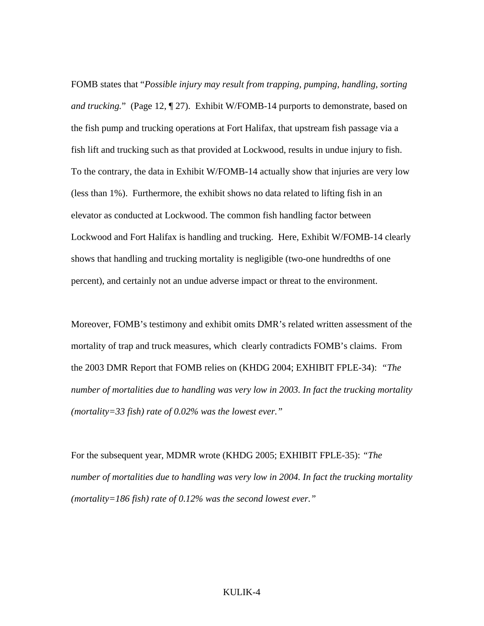FOMB states that "*Possible injury may result from trapping, pumping, handling, sorting and trucking.*" (Page 12, ¶ 27). Exhibit W/FOMB-14 purports to demonstrate, based on the fish pump and trucking operations at Fort Halifax, that upstream fish passage via a fish lift and trucking such as that provided at Lockwood, results in undue injury to fish. To the contrary, the data in Exhibit W/FOMB-14 actually show that injuries are very low (less than 1%). Furthermore, the exhibit shows no data related to lifting fish in an elevator as conducted at Lockwood. The common fish handling factor between Lockwood and Fort Halifax is handling and trucking. Here, Exhibit W/FOMB-14 clearly shows that handling and trucking mortality is negligible (two-one hundredths of one percent), and certainly not an undue adverse impact or threat to the environment.

Moreover, FOMB's testimony and exhibit omits DMR's related written assessment of the mortality of trap and truck measures, which clearly contradicts FOMB's claims. From the 2003 DMR Report that FOMB relies on (KHDG 2004; EXHIBIT FPLE-34): *"The number of mortalities due to handling was very low in 2003. In fact the trucking mortality (mortality=33 fish) rate of 0.02% was the lowest ever."*

For the subsequent year, MDMR wrote (KHDG 2005; EXHIBIT FPLE-35): *"The number of mortalities due to handling was very low in 2004. In fact the trucking mortality (mortality=186 fish) rate of 0.12% was the second lowest ever."*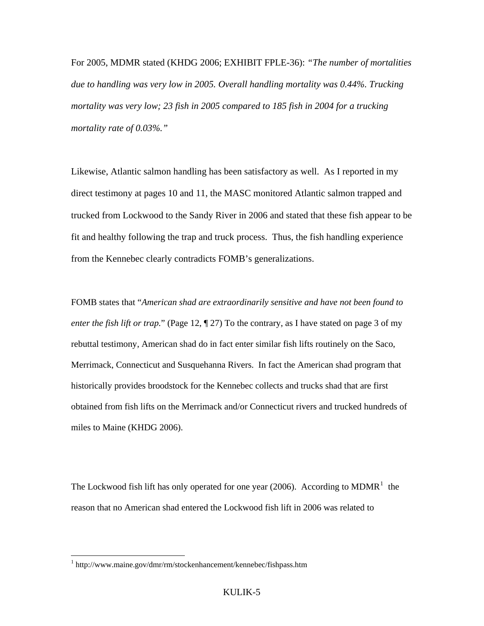For 2005, MDMR stated (KHDG 2006; EXHIBIT FPLE-36): *"The number of mortalities due to handling was very low in 2005. Overall handling mortality was 0.44%. Trucking mortality was very low; 23 fish in 2005 compared to 185 fish in 2004 for a trucking mortality rate of 0.03%."*

Likewise, Atlantic salmon handling has been satisfactory as well. As I reported in my direct testimony at pages 10 and 11, the MASC monitored Atlantic salmon trapped and trucked from Lockwood to the Sandy River in 2006 and stated that these fish appear to be fit and healthy following the trap and truck process. Thus, the fish handling experience from the Kennebec clearly contradicts FOMB's generalizations.

FOMB states that "*American shad are extraordinarily sensitive and have not been found to enter the fish lift or trap.*" (Page 12,  $\P$  27) To the contrary, as I have stated on page 3 of my rebuttal testimony, American shad do in fact enter similar fish lifts routinely on the Saco, Merrimack, Connecticut and Susquehanna Rivers. In fact the American shad program that historically provides broodstock for the Kennebec collects and trucks shad that are first obtained from fish lifts on the Merrimack and/or Connecticut rivers and trucked hundreds of miles to Maine (KHDG 2006).

The Lockwood fish lift has only operated for one year (2006). According to  $MDMR<sup>1</sup>$  $MDMR<sup>1</sup>$  $MDMR<sup>1</sup>$  the reason that no American shad entered the Lockwood fish lift in 2006 was related to

 $\overline{a}$ 

<span id="page-6-0"></span><sup>&</sup>lt;sup>1</sup> http://www.maine.gov/dmr/rm/stockenhancement/kennebec/fishpass.htm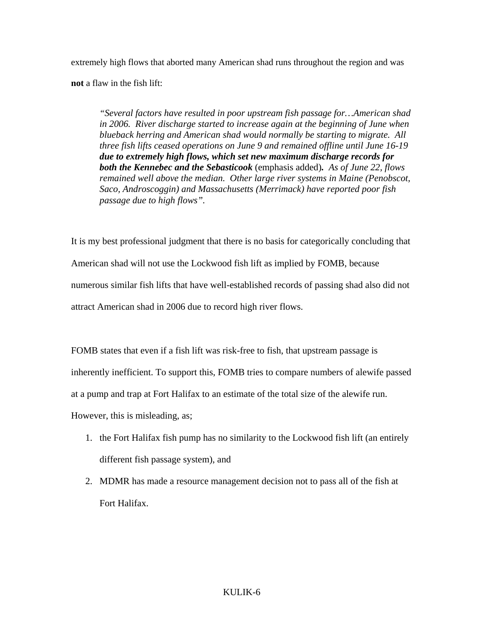extremely high flows that aborted many American shad runs throughout the region and was **not** a flaw in the fish lift:

*"Several factors have resulted in poor upstream fish passage for…American shad in 2006. River discharge started to increase again at the beginning of June when blueback herring and American shad would normally be starting to migrate. All three fish lifts ceased operations on June 9 and remained offline until June 16-19 due to extremely high flows, which set new maximum discharge records for both the Kennebec and the Sebasticook* (emphasis added)*. As of June 22, flows remained well above the median. Other large river systems in Maine (Penobscot, Saco, Androscoggin) and Massachusetts (Merrimack) have reported poor fish passage due to high flows".* 

It is my best professional judgment that there is no basis for categorically concluding that American shad will not use the Lockwood fish lift as implied by FOMB, because numerous similar fish lifts that have well-established records of passing shad also did not attract American shad in 2006 due to record high river flows.

FOMB states that even if a fish lift was risk-free to fish, that upstream passage is inherently inefficient. To support this, FOMB tries to compare numbers of alewife passed at a pump and trap at Fort Halifax to an estimate of the total size of the alewife run. However, this is misleading, as;

- 1. the Fort Halifax fish pump has no similarity to the Lockwood fish lift (an entirely different fish passage system), and
- 2. MDMR has made a resource management decision not to pass all of the fish at Fort Halifax.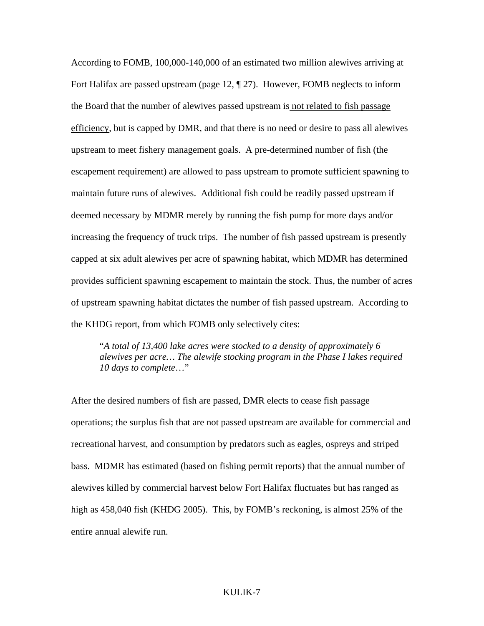According to FOMB, 100,000-140,000 of an estimated two million alewives arriving at Fort Halifax are passed upstream (page 12, ¶ 27). However, FOMB neglects to inform the Board that the number of alewives passed upstream is not related to fish passage efficiency, but is capped by DMR, and that there is no need or desire to pass all alewives upstream to meet fishery management goals. A pre-determined number of fish (the escapement requirement) are allowed to pass upstream to promote sufficient spawning to maintain future runs of alewives. Additional fish could be readily passed upstream if deemed necessary by MDMR merely by running the fish pump for more days and/or increasing the frequency of truck trips. The number of fish passed upstream is presently capped at six adult alewives per acre of spawning habitat, which MDMR has determined provides sufficient spawning escapement to maintain the stock. Thus, the number of acres of upstream spawning habitat dictates the number of fish passed upstream. According to the KHDG report, from which FOMB only selectively cites:

"*A total of 13,400 lake acres were stocked to a density of approximately 6 alewives per acre… The alewife stocking program in the Phase I lakes required 10 days to complete*…"

After the desired numbers of fish are passed, DMR elects to cease fish passage operations; the surplus fish that are not passed upstream are available for commercial and recreational harvest, and consumption by predators such as eagles, ospreys and striped bass. MDMR has estimated (based on fishing permit reports) that the annual number of alewives killed by commercial harvest below Fort Halifax fluctuates but has ranged as high as 458,040 fish (KHDG 2005). This, by FOMB's reckoning, is almost 25% of the entire annual alewife run.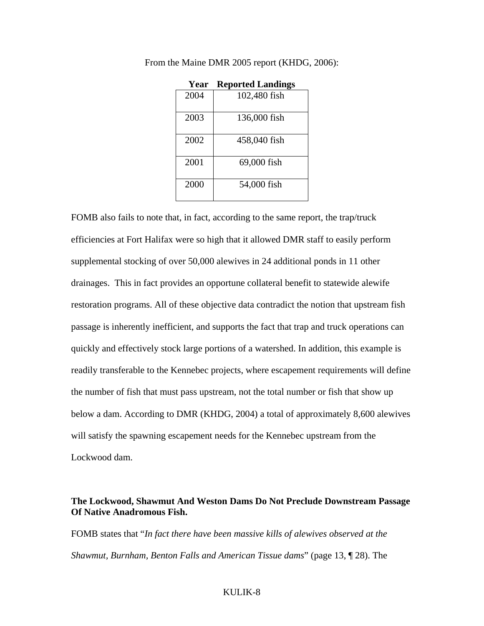| Year | <b>Reported Landings</b> |
|------|--------------------------|
| 2004 | 102,480 fish             |
| 2003 | 136,000 fish             |
| 2002 | 458,040 fish             |
| 2001 | 69,000 fish              |
| 2000 | 54,000 fish              |

From the Maine DMR 2005 report (KHDG, 2006):

FOMB also fails to note that, in fact, according to the same report, the trap/truck efficiencies at Fort Halifax were so high that it allowed DMR staff to easily perform supplemental stocking of over 50,000 alewives in 24 additional ponds in 11 other drainages. This in fact provides an opportune collateral benefit to statewide alewife restoration programs. All of these objective data contradict the notion that upstream fish passage is inherently inefficient, and supports the fact that trap and truck operations can quickly and effectively stock large portions of a watershed. In addition, this example is readily transferable to the Kennebec projects, where escapement requirements will define the number of fish that must pass upstream, not the total number or fish that show up below a dam. According to DMR (KHDG, 2004) a total of approximately 8,600 alewives will satisfy the spawning escapement needs for the Kennebec upstream from the Lockwood dam.

### **The Lockwood, Shawmut And Weston Dams Do Not Preclude Downstream Passage Of Native Anadromous Fish.**

FOMB states that "*In fact there have been massive kills of alewives observed at the Shawmut, Burnham, Benton Falls and American Tissue dams*" (page 13, ¶ 28). The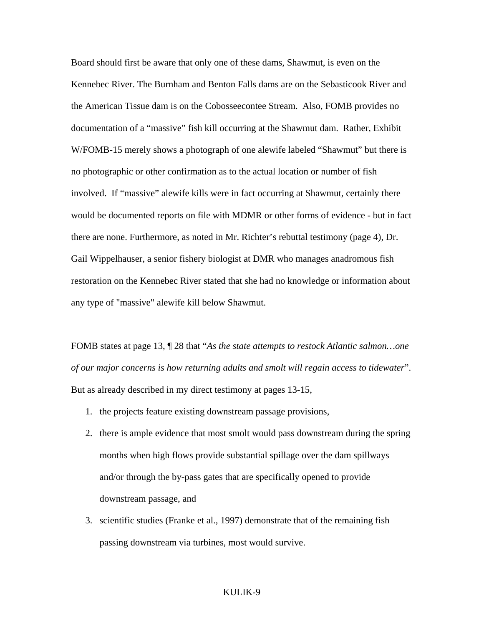Board should first be aware that only one of these dams, Shawmut, is even on the Kennebec River. The Burnham and Benton Falls dams are on the Sebasticook River and the American Tissue dam is on the Cobosseecontee Stream. Also, FOMB provides no documentation of a "massive" fish kill occurring at the Shawmut dam. Rather, Exhibit W/FOMB-15 merely shows a photograph of one alewife labeled "Shawmut" but there is no photographic or other confirmation as to the actual location or number of fish involved. If "massive" alewife kills were in fact occurring at Shawmut, certainly there would be documented reports on file with MDMR or other forms of evidence - but in fact there are none. Furthermore, as noted in Mr. Richter's rebuttal testimony (page 4), Dr. Gail Wippelhauser, a senior fishery biologist at DMR who manages anadromous fish restoration on the Kennebec River stated that she had no knowledge or information about any type of "massive" alewife kill below Shawmut.

FOMB states at page 13, ¶ 28 that "*As the state attempts to restock Atlantic salmon…one of our major concerns is how returning adults and smolt will regain access to tidewater*". But as already described in my direct testimony at pages 13-15,

- 1. the projects feature existing downstream passage provisions,
- 2. there is ample evidence that most smolt would pass downstream during the spring months when high flows provide substantial spillage over the dam spillways and/or through the by-pass gates that are specifically opened to provide downstream passage, and
- 3. scientific studies (Franke et al., 1997) demonstrate that of the remaining fish passing downstream via turbines, most would survive.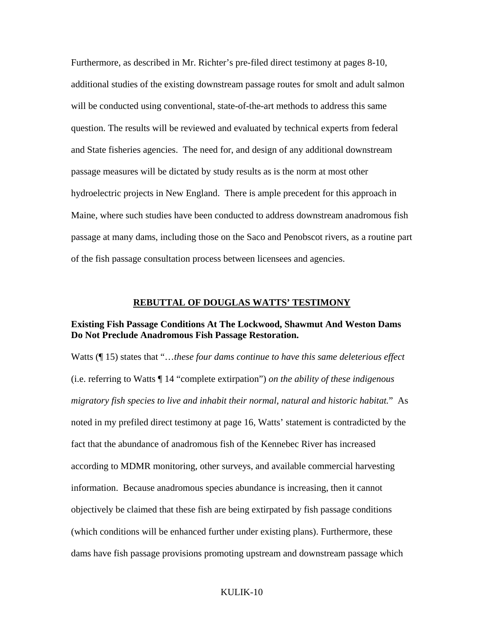Furthermore, as described in Mr. Richter's pre-filed direct testimony at pages 8-10, additional studies of the existing downstream passage routes for smolt and adult salmon will be conducted using conventional, state-of-the-art methods to address this same question. The results will be reviewed and evaluated by technical experts from federal and State fisheries agencies. The need for, and design of any additional downstream passage measures will be dictated by study results as is the norm at most other hydroelectric projects in New England. There is ample precedent for this approach in Maine, where such studies have been conducted to address downstream anadromous fish passage at many dams, including those on the Saco and Penobscot rivers, as a routine part of the fish passage consultation process between licensees and agencies.

### **REBUTTAL OF DOUGLAS WATTS' TESTIMONY**

### **Existing Fish Passage Conditions At The Lockwood, Shawmut And Weston Dams Do Not Preclude Anadromous Fish Passage Restoration.**

Watts (¶ 15) states that "…*these four dams continue to have this same deleterious effect*  (i.e. referring to Watts ¶ 14 "complete extirpation") *on the ability of these indigenous migratory fish species to live and inhabit their normal, natural and historic habitat.*" As noted in my prefiled direct testimony at page 16, Watts' statement is contradicted by the fact that the abundance of anadromous fish of the Kennebec River has increased according to MDMR monitoring, other surveys, and available commercial harvesting information. Because anadromous species abundance is increasing, then it cannot objectively be claimed that these fish are being extirpated by fish passage conditions (which conditions will be enhanced further under existing plans). Furthermore, these dams have fish passage provisions promoting upstream and downstream passage which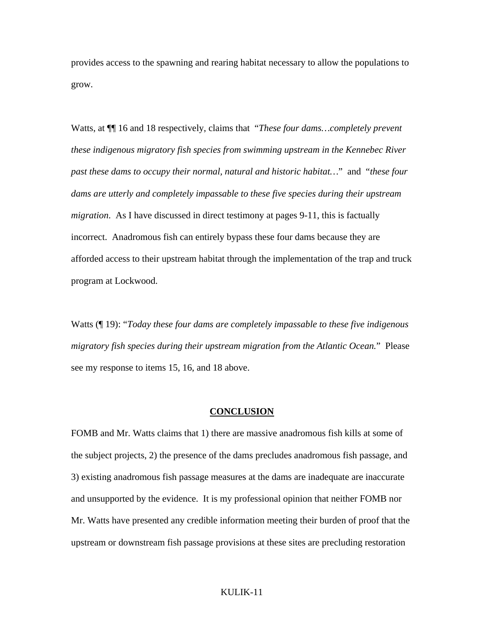provides access to the spawning and rearing habitat necessary to allow the populations to grow.

Watts, at ¶¶ 16 and 18 respectively, claims that "*These four dams…completely prevent these indigenous migratory fish species from swimming upstream in the Kennebec River past these dams to occupy their normal, natural and historic habitat…*" and "*these four dams are utterly and completely impassable to these five species during their upstream migration*. As I have discussed in direct testimony at pages 9-11, this is factually incorrect. Anadromous fish can entirely bypass these four dams because they are afforded access to their upstream habitat through the implementation of the trap and truck program at Lockwood.

Watts (¶ 19): "*Today these four dams are completely impassable to these five indigenous migratory fish species during their upstream migration from the Atlantic Ocean.*" Please see my response to items 15, 16, and 18 above.

#### **CONCLUSION**

FOMB and Mr. Watts claims that 1) there are massive anadromous fish kills at some of the subject projects, 2) the presence of the dams precludes anadromous fish passage, and 3) existing anadromous fish passage measures at the dams are inadequate are inaccurate and unsupported by the evidence. It is my professional opinion that neither FOMB nor Mr. Watts have presented any credible information meeting their burden of proof that the upstream or downstream fish passage provisions at these sites are precluding restoration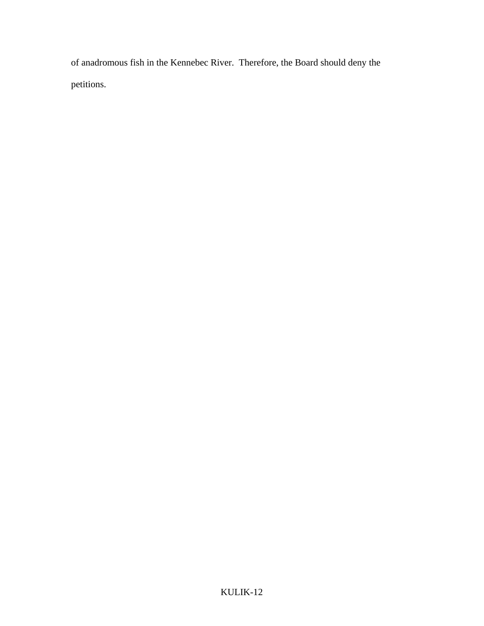of anadromous fish in the Kennebec River. Therefore, the Board should deny the petitions.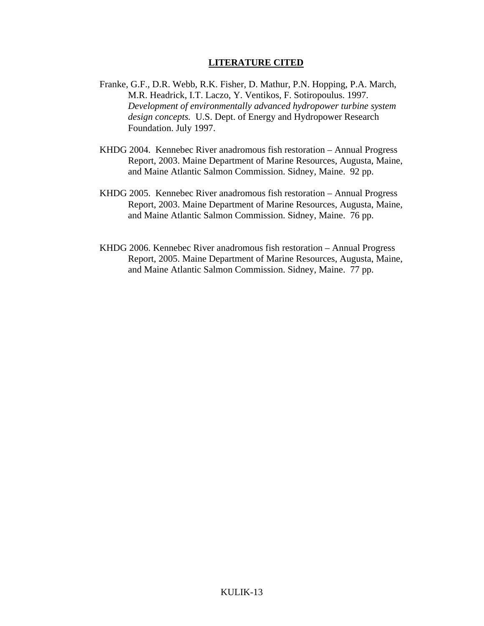### **LITERATURE CITED**

- Franke, G.F., D.R. Webb, R.K. Fisher, D. Mathur, P.N. Hopping, P.A. March, M.R. Headrick, I.T. Laczo, Y. Ventikos, F. Sotiropoulus. 1997. *Development of environmentally advanced hydropower turbine system design concepts.* U.S. Dept. of Energy and Hydropower Research Foundation. July 1997.
- KHDG 2004. Kennebec River anadromous fish restoration Annual Progress Report, 2003. Maine Department of Marine Resources, Augusta, Maine, and Maine Atlantic Salmon Commission. Sidney, Maine. 92 pp.
- KHDG 2005. Kennebec River anadromous fish restoration Annual Progress Report, 2003. Maine Department of Marine Resources, Augusta, Maine, and Maine Atlantic Salmon Commission. Sidney, Maine. 76 pp.
- KHDG 2006. Kennebec River anadromous fish restoration Annual Progress Report, 2005. Maine Department of Marine Resources, Augusta, Maine, and Maine Atlantic Salmon Commission. Sidney, Maine. 77 pp.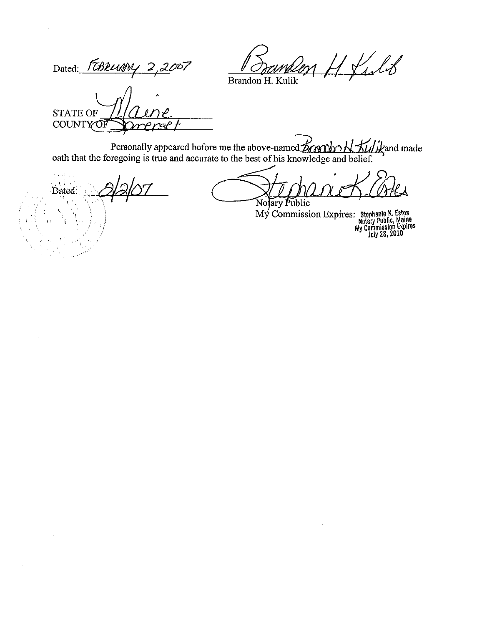Con H Kilo

Dated: FEBRUARY 2,2007

Brandon H. Kulik

**STATE OF COUNTY OF** 

Personally appeared before me the above-named  $\mathcal{L}$  and  $\mathcal{L}$   $\mathcal{L}$  and made oath that the foregoing is true and accurate to the best of his knowledge and belief.

والمتمحل  $\mathcal{M}$ Dated:  $\mathbf{t}$  $\left($ j

Notary Public

My Commission Expires: Stephanie K. Estes<br>Notary Public, Maine<br>My Commission Expires<br>July 28, 2010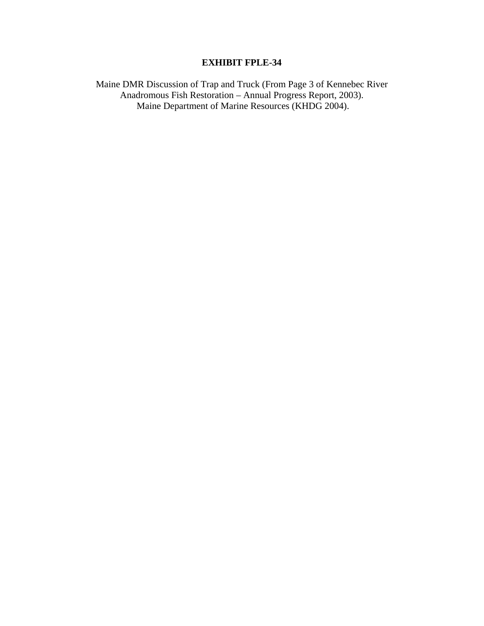## **EXHIBIT FPLE-34**

Maine DMR Discussion of Trap and Truck (From Page 3 of Kennebec River Anadromous Fish Restoration – Annual Progress Report, 2003). Maine Department of Marine Resources (KHDG 2004).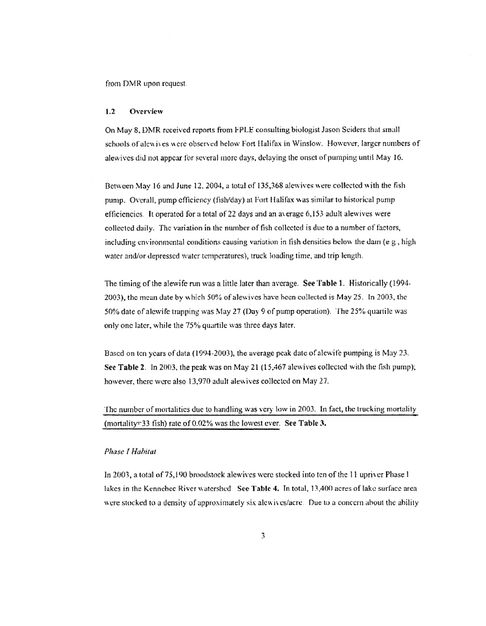from DMR upon request.

#### $1.2$ Overview

On May 8, DMR received reports from FPLE consulting biologist Jason Seiders that small schools of alewives were observed below Fort Halifax in Winslow. However, larger numbers of alewives did not appear for several more days, delaying the onset of pumping until May 16.

Between May 16 and June 12, 2004, a total of 135,368 alewives were collected with the fish pump. Overall, pump efficiency (fish/day) at Fort Halifax was similar to historical pump efficiencies. It operated for a total of 22 days and an average 6,153 adult alewives were collected daily. The variation in the number of fish collected is due to a number of factors, including environmental conditions causing variation in fish densities below the dam  $(e.g., high$ water and/or depressed water temperatures), truck loading time, and trip length.

The timing of the alewife run was a little later than average. See Table 1. Historically (1994-2003), the mean date by which 50% of alewives have been collected is May 25. In 2003, the 50% date of alcwife trapping was May 27 (Day 9 of pump operation). The 25% quartile was only one later, while the 75% quartile was three days later.

Based on ten years of data (1994-2003), the average peak date of alewife pumping is May 23. See Table 2. In 2003, the peak was on May 21 (15,467 alewives collected with the fish pump); however, there were also 13,970 adult alewives collected on May 27.

The number of mortalities due to handling was very low in 2003. In fact, the trucking mortality (mortality=33 fish) rate of 0.02% was the lowest ever. See Table 3.

#### Phase I Habitat

In 2003, a total of 75,190 broodstock alewives were stocked into ten of the 11 upriver Phase I lakes in the Kennebec River watershed. See Table 4. In total, 13,400 acres of lake surface area were stocked to a density of approximately six alewives/acre. Due to a concern about the ability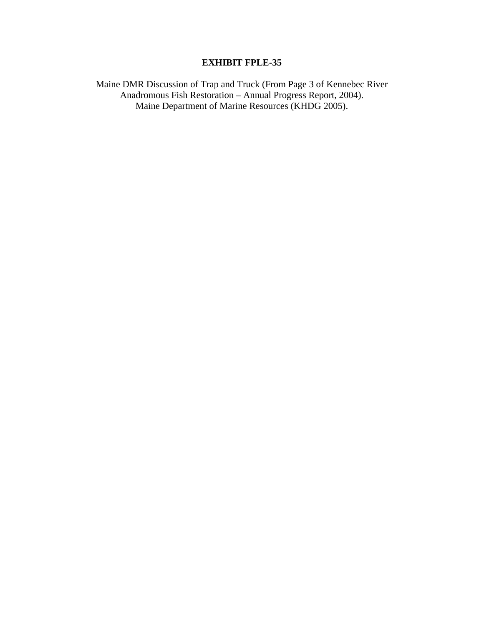## **EXHIBIT FPLE-35**

Maine DMR Discussion of Trap and Truck (From Page 3 of Kennebec River Anadromous Fish Restoration – Annual Progress Report, 2004). Maine Department of Marine Resources (KHDG 2005).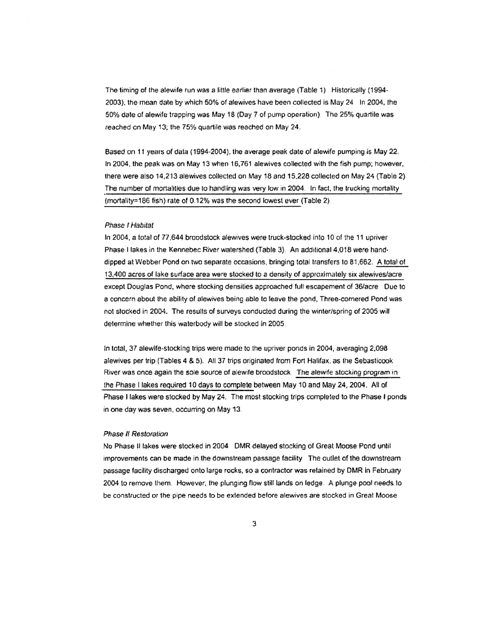The timing of the alewife run was a little earlier than average (Table 1). Historically (1994-2003), the mean date by which 50% of alewives have been collected is May 24. In 2004, the 50% date of alewife trapping was May 18 (Day 7 of pump operation). The 25% quartile was reached on May 13; the 75% quartile was reached on May 24.

Based on 11 years of data (1994-2004), the average peak date of alewife pumping is May 22. In 2004, the peak was on May 13 when 16,761 alewives collected with the fish pump; however, there were also 14,213 alewives collected on May 18 and 15,228 collected on May 24 (Table 2). The number of mortalities due to handling was very low in 2004. In fact, the trucking mortality (mortality=186 fish) rate of 0.12% was the second lowest ever (Table 2).

#### Phase I Habitat

In 2004, a total of 77,644 broodstock alewives were truck-stocked into 10 of the 11 upriver Phase I lakes in the Kennebec River watershed (Table 3). An additional 4,018 were handdipped at Webber Pond on two separate occasions, bringing total transfers to 81,662. A total of 13,400 acres of lake surface area were stocked to a density of approximately six alewives/acre except Douglas Pond, where stocking densities approached full escapement of 36/acre. Due to a concern about the ability of alewives being able to leave the pond, Three-cornered Pond was not stocked in 2004. The results of surveys conducted during the winter/spring of 2005 will determine whether this waterbody will be stocked in 2005.

In total, 37 alewife-stocking trips were made to the upriver ponds in 2004, averaging 2,098 alewives per trip (Tables 4 & 5). All 37 trips originated from Fort Halifax, as the Sebasticook River was once again the sole source of alewife broodstock. The alewife stocking program in the Phase I lakes required 10 days to complete between May 10 and May 24, 2004. All of Phase I lakes were stocked by May 24. The most stocking trips completed to the Phase I ponds in one day was seven, occurring on May 13.

#### Phase II Restoration

No Phase II lakes were stocked in 2004 DMR delayed stocking of Great Moose Pond until improvements can be made in the downstream passage facility The outlet of the downstream passage facility discharged onto large rocks, so a contractor was retained by DMR in February 2004 to remove them. However, the plunging flow still lands on ledge. A plunge pool needs to be constructed or the pipe needs to be extended before alewives are stocked in Great Moose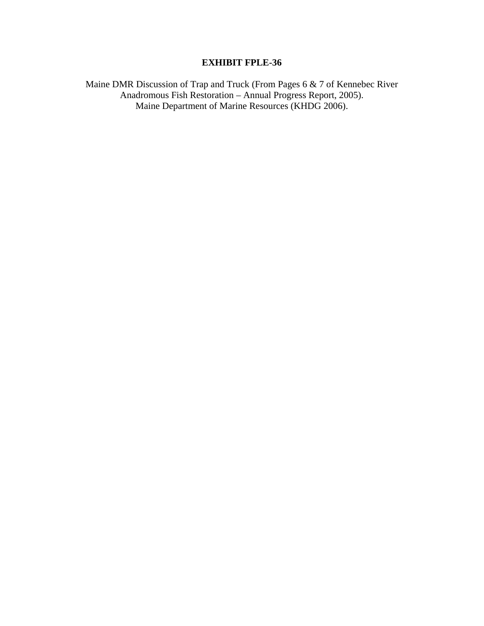## **EXHIBIT FPLE-36**

Maine DMR Discussion of Trap and Truck (From Pages 6 & 7 of Kennebec River Anadromous Fish Restoration – Annual Progress Report, 2005). Maine Department of Marine Resources (KHDG 2006).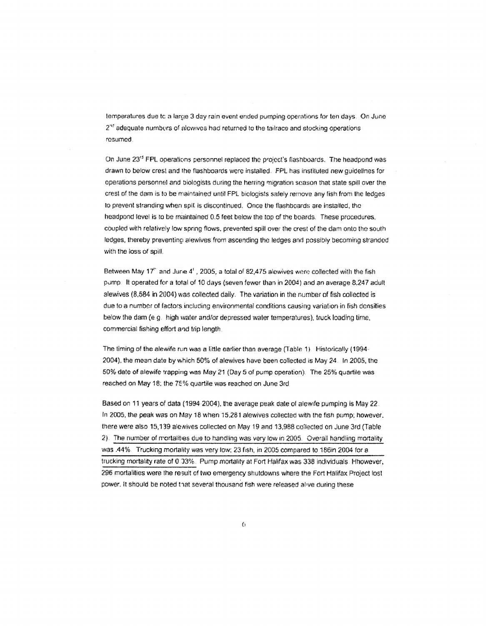temperatures due to a large 3 day rain event ended pumping operations for ten days. On June  $2<sup>st</sup>$  adequate numbers of alowives had returned to the tailrace and stocking operations resumed.

On June 23<sup>rd</sup> FPL operations personnel replaced the project's flashboards. The headpond was drawn to below crest and the flashboards were installed. FPL has instituted new quidelines for operations personnel and biologists during the herring migration scason that state spill over the crest of the dam is to be maintained until FPL biologists safely remove any fish from the ledges to prevent stranding when spill is discontinued. Once the flashboards are installed, the headpond level is to be maintained 0.5 feet below the top of the boards. These procedures, coupled with relatively low spring flows, prevented spill over the crest of the dam onto the south ledges, thereby preventing alewives from ascending the ledges and possibly becoming stranded with the loss of spill.

Between May 17" and June 4', 2005, a total of 82,475 alowives wore collected with the fish pump. It operated for a total of 10 days (seven fewer than in 2004) and an average 8.247 adult alewives (8,584 in 2004) was collected daily. The variation in the number of fish collected is due to a number of factors including environmental conditions causing variation in fish densities below the dam (e.g. high water and/or depressed water temperatures), truck loading time, commercial fishing effort and trip length.

The liming of the alewife run was a little earlier than average (Table 1). Historically (1994-2004), the mean date by which 50% of alewives have been collected is May 24. In 2005, the 50% date of alewife trapping was May 21 (Day 5 of pump operation). The 25% quartile was reached on May 18; the 75% quartile was reached on June 3rd

Based on 11 years of data (1994-2004), the average peak date of alewife pumping is May 22. In 2005, the peak was on May 18 when 15,281 alewives collected with the fish pump; however, there were also 15,139 alewives collected on May 19 and 13,988 collected on June 3rd (Table 2). The number of mortalities due to handling was very low in 2005. Overall handling mortality was .44%. Trucking mortality was very low; 23 fish, in 2005 compared to 186in 2004 for a trucking mortality rate of 0.33%. Pump mortality at Fort Halifax was 338 individuals. Hhowever, 296 mortalities were the result of two emergency shutdowns where the Fort Halifax Project lost power. It should be noted that several thousand fish were released alive during these